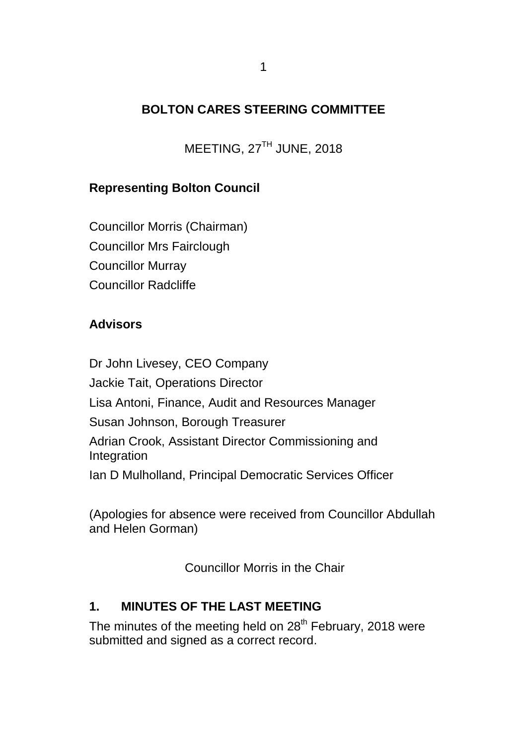## **BOLTON CARES STEERING COMMITTEE**

MEETING, 27TH JUNE, 2018

## **Representing Bolton Council**

Councillor Morris (Chairman) Councillor Mrs Fairclough Councillor Murray Councillor Radcliffe

## **Advisors**

Dr John Livesey, CEO Company Jackie Tait, Operations Director Lisa Antoni, Finance, Audit and Resources Manager Susan Johnson, Borough Treasurer Adrian Crook, Assistant Director Commissioning and Integration Ian D Mulholland, Principal Democratic Services Officer

(Apologies for absence were received from Councillor Abdullah and Helen Gorman)

Councillor Morris in the Chair

## **1. MINUTES OF THE LAST MEETING**

The minutes of the meeting held on 28<sup>th</sup> February, 2018 were submitted and signed as a correct record.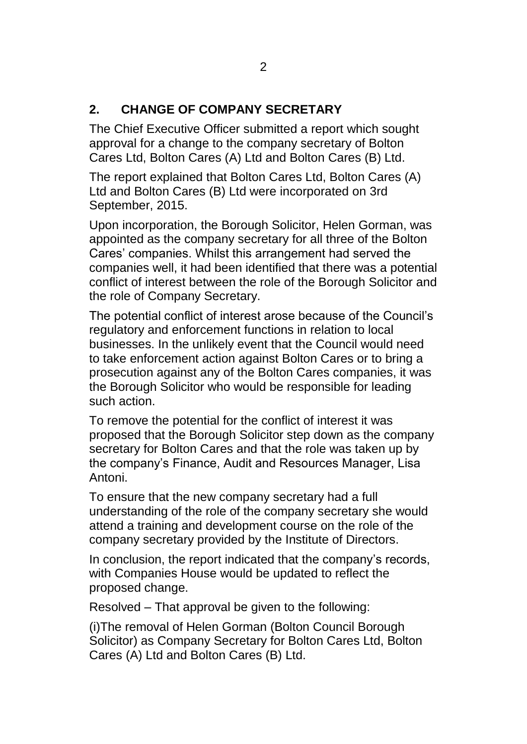#### **2. CHANGE OF COMPANY SECRETARY**

The Chief Executive Officer submitted a report which sought approval for a change to the company secretary of Bolton Cares Ltd, Bolton Cares (A) Ltd and Bolton Cares (B) Ltd.

The report explained that Bolton Cares Ltd, Bolton Cares (A) Ltd and Bolton Cares (B) Ltd were incorporated on 3rd September, 2015.

Upon incorporation, the Borough Solicitor, Helen Gorman, was appointed as the company secretary for all three of the Bolton Cares' companies. Whilst this arrangement had served the companies well, it had been identified that there was a potential conflict of interest between the role of the Borough Solicitor and the role of Company Secretary.

The potential conflict of interest arose because of the Council's regulatory and enforcement functions in relation to local businesses. In the unlikely event that the Council would need to take enforcement action against Bolton Cares or to bring a prosecution against any of the Bolton Cares companies, it was the Borough Solicitor who would be responsible for leading such action.

To remove the potential for the conflict of interest it was proposed that the Borough Solicitor step down as the company secretary for Bolton Cares and that the role was taken up by the company's Finance, Audit and Resources Manager, Lisa Antoni.

To ensure that the new company secretary had a full understanding of the role of the company secretary she would attend a training and development course on the role of the company secretary provided by the Institute of Directors.

In conclusion, the report indicated that the company's records, with Companies House would be updated to reflect the proposed change.

Resolved – That approval be given to the following:

(i)The removal of Helen Gorman (Bolton Council Borough Solicitor) as Company Secretary for Bolton Cares Ltd, Bolton Cares (A) Ltd and Bolton Cares (B) Ltd.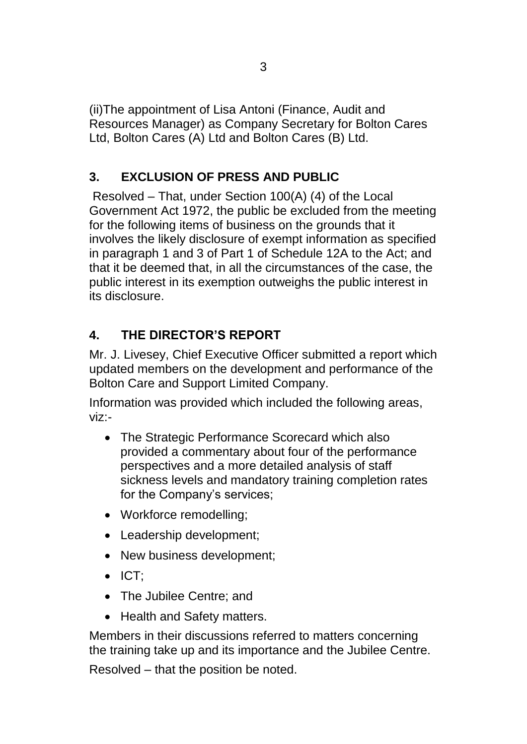(ii)The appointment of Lisa Antoni (Finance, Audit and Resources Manager) as Company Secretary for Bolton Cares Ltd, Bolton Cares (A) Ltd and Bolton Cares (B) Ltd.

# **3. EXCLUSION OF PRESS AND PUBLIC**

Resolved – That, under Section 100(A) (4) of the Local Government Act 1972, the public be excluded from the meeting for the following items of business on the grounds that it involves the likely disclosure of exempt information as specified in paragraph 1 and 3 of Part 1 of Schedule 12A to the Act; and that it be deemed that, in all the circumstances of the case, the public interest in its exemption outweighs the public interest in its disclosure.

# **4. THE DIRECTOR'S REPORT**

Mr. J. Livesey, Chief Executive Officer submitted a report which updated members on the development and performance of the Bolton Care and Support Limited Company.

Information was provided which included the following areas, viz:-

- The Strategic Performance Scorecard which also provided a commentary about four of the performance perspectives and a more detailed analysis of staff sickness levels and mandatory training completion rates for the Company's services;
- Workforce remodelling;
- Leadership development;
- New business development;
- ICT;
- The Jubilee Centre; and
- Health and Safety matters.

Members in their discussions referred to matters concerning the training take up and its importance and the Jubilee Centre.

Resolved – that the position be noted.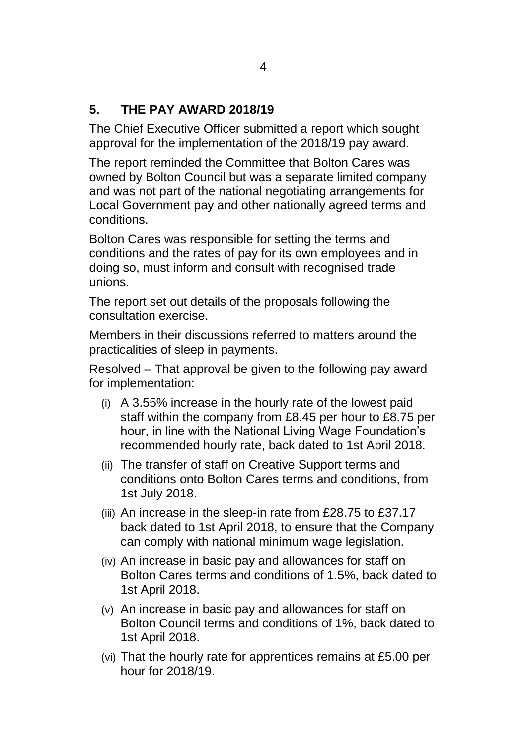## **5. THE PAY AWARD 2018/19**

The Chief Executive Officer submitted a report which sought approval for the implementation of the 2018/19 pay award.

The report reminded the Committee that Bolton Cares was owned by Bolton Council but was a separate limited company and was not part of the national negotiating arrangements for Local Government pay and other nationally agreed terms and conditions.

Bolton Cares was responsible for setting the terms and conditions and the rates of pay for its own employees and in doing so, must inform and consult with recognised trade unions.

The report set out details of the proposals following the consultation exercise.

Members in their discussions referred to matters around the practicalities of sleep in payments.

Resolved – That approval be given to the following pay award for implementation:

- (i) A 3.55% increase in the hourly rate of the lowest paid staff within the company from £8.45 per hour to £8.75 per hour, in line with the National Living Wage Foundation's recommended hourly rate, back dated to 1st April 2018.
- (ii) The transfer of staff on Creative Support terms and conditions onto Bolton Cares terms and conditions, from 1st July 2018.
- (iii) An increase in the sleep-in rate from £28.75 to £37.17 back dated to 1st April 2018, to ensure that the Company can comply with national minimum wage legislation.
- (iv) An increase in basic pay and allowances for staff on Bolton Cares terms and conditions of 1.5%, back dated to 1st April 2018.
- (v) An increase in basic pay and allowances for staff on Bolton Council terms and conditions of 1%, back dated to 1st April 2018.
- (vi) That the hourly rate for apprentices remains at £5.00 per hour for 2018/19.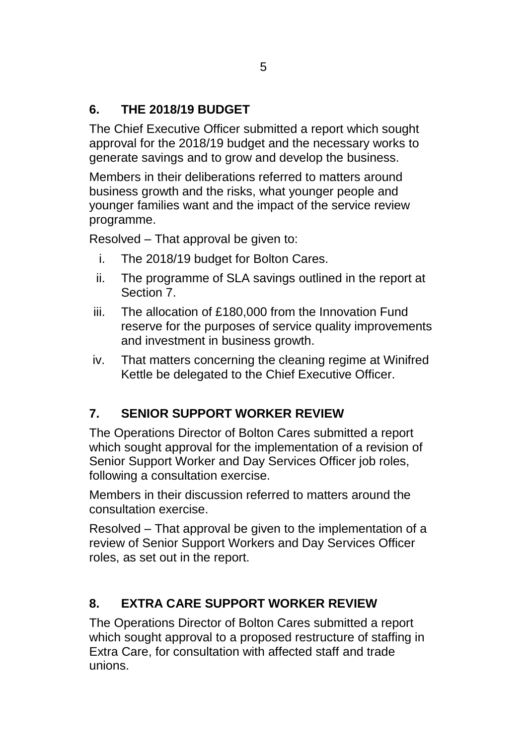# **6. THE 2018/19 BUDGET**

The Chief Executive Officer submitted a report which sought approval for the 2018/19 budget and the necessary works to generate savings and to grow and develop the business.

Members in their deliberations referred to matters around business growth and the risks, what younger people and younger families want and the impact of the service review programme.

Resolved – That approval be given to:

- i. The 2018/19 budget for Bolton Cares.
- ii. The programme of SLA savings outlined in the report at Section 7.
- iii. The allocation of £180,000 from the Innovation Fund reserve for the purposes of service quality improvements and investment in business growth.
- iv. That matters concerning the cleaning regime at Winifred Kettle be delegated to the Chief Executive Officer.

# **7. SENIOR SUPPORT WORKER REVIEW**

The Operations Director of Bolton Cares submitted a report which sought approval for the implementation of a revision of Senior Support Worker and Day Services Officer job roles, following a consultation exercise.

Members in their discussion referred to matters around the consultation exercise.

Resolved – That approval be given to the implementation of a review of Senior Support Workers and Day Services Officer roles, as set out in the report.

# **8. EXTRA CARE SUPPORT WORKER REVIEW**

The Operations Director of Bolton Cares submitted a report which sought approval to a proposed restructure of staffing in Extra Care, for consultation with affected staff and trade unions.